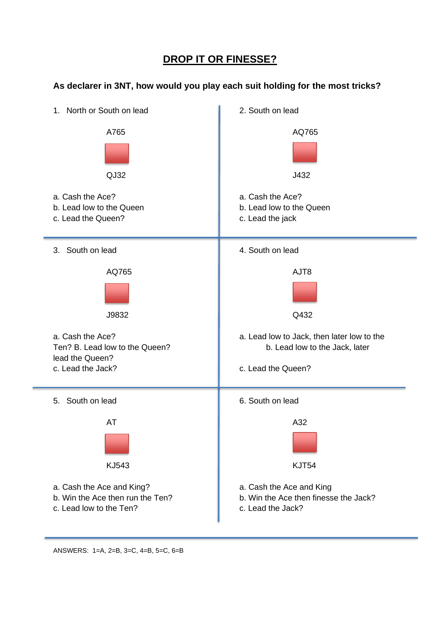## **DROP IT OR FINESSE?**

#### **As declarer in 3NT, how would you play each suit holding for the most tricks?**

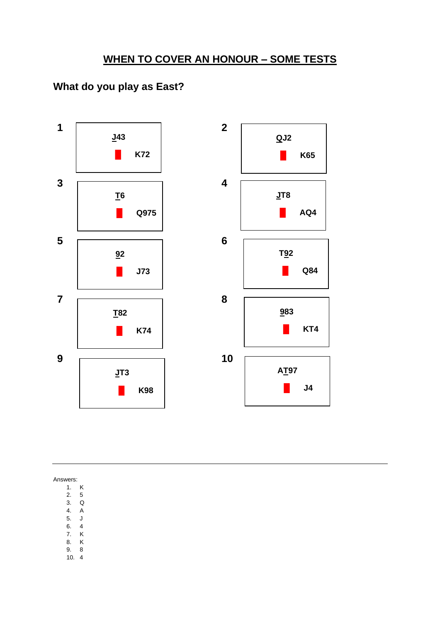# **What do you play as East?**



Answers:

1. K

2. 5 3. Q

4. A

5. J

- 6. 4
- 7. K
- 8. K
- 9. 8 10. 4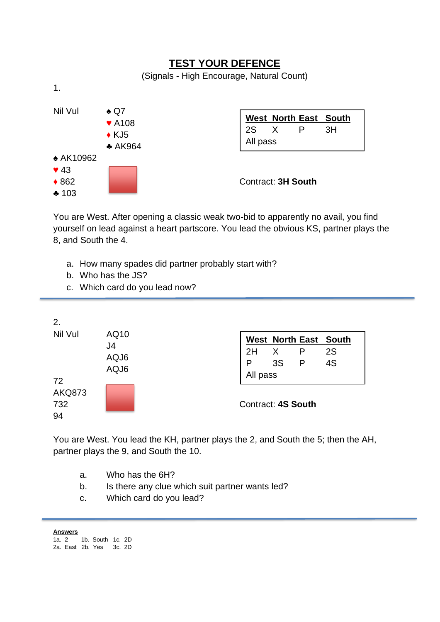#### **TEST YOUR DEFENCE** (Signals - High Encourage, Natural Count) 1. Nil Vul **← Q7** ♥ A108  $\triangle$  K.I5 ♣ AK964 ♠ AK10962  $\blacktriangledown$  43 ◆ 862 **Contract: 3H South** ♣ 103 **West North East South** 2S X P 3H All pass

You are West. After opening a classic weak two-bid to apparently no avail, you find yourself on lead against a heart partscore. You lead the obvious KS, partner plays the 8, and South the 4.

- a. How many spades did partner probably start with?
- b. Who has the JS?
- c. Which card do you lead now?



You are West. You lead the KH, partner plays the 2, and South the 5; then the AH, partner plays the 9, and South the 10.

- a. Who has the 6H?
- b. Is there any clue which suit partner wants led?
- c. Which card do you lead?

**Answers** 1a. 2 1b. South 1c. 2D 2a. East 2b. Yes 3c. 2D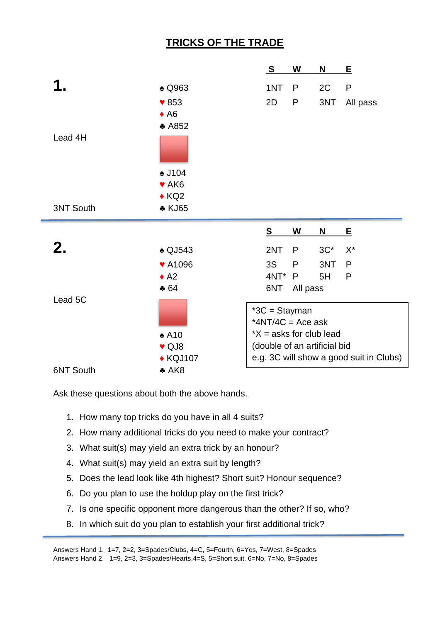## **TRICKS OF THE TRADE**

|                  |                             | $\mathbf{s}$                         | W            | N                            | <u>E</u>                                |
|------------------|-----------------------------|--------------------------------------|--------------|------------------------------|-----------------------------------------|
|                  | <b>A</b> Q963               | 1NT                                  | P            | 2C                           | $\mathsf{P}$                            |
|                  | $\blacktriangledown 853$    | 2D                                   | $\mathsf{P}$ | 3NT                          | All pass                                |
|                  | $\triangle$ A6              |                                      |              |                              |                                         |
|                  | $\triangle$ A852            |                                      |              |                              |                                         |
| Lead 4H          |                             |                                      |              |                              |                                         |
|                  | <b>↓J104</b>                |                                      |              |                              |                                         |
|                  | $\blacktriangledown$ AK6    |                                      |              |                              |                                         |
|                  | $\triangle$ KQ2             |                                      |              |                              |                                         |
| <b>3NT South</b> | $\triangle$ KJ65            |                                      |              |                              |                                         |
|                  |                             |                                      |              |                              |                                         |
|                  |                             | S                                    | W            | $\overline{\mathsf{N}}$      | E                                       |
| 2.               | $\triangle$ QJ543           | 2NT                                  | P            | $3C^*$                       | $X^*$                                   |
|                  | ♥ A1096                     | 3S                                   | $\mathsf{P}$ | 3NT                          | P                                       |
|                  | $\triangle$ A2              | 4NT*                                 | P            | 5H                           | P                                       |
|                  | $* 64$                      | 6NT                                  | All pass     |                              |                                         |
| Lead 5C          |                             | $*3C = Stayman$<br>*4NT/4C = Ace ask |              |                              |                                         |
|                  | $\triangle$ A10             |                                      |              | $*X$ = asks for club lead    |                                         |
|                  | ♥ QJ8                       |                                      |              | (double of an artificial bid |                                         |
| <b>6NT South</b> | ◆ KQJ107<br>$\triangle$ AK8 |                                      |              |                              | e.g. 3C will show a good suit in Clubs) |

Ask these questions about both the above hands.

۵

- 1. How many top tricks do you have in all 4 suits?
- 2. How many additional tricks do you need to make your contract?
- 3. What suit(s) may yield an extra trick by an honour?
- 4. What suit(s) may yield an extra suit by length?
- 5. Does the lead look like 4th highest? Short suit? Honour sequence?
- 6. Do you plan to use the holdup play on the first trick?
- 7. Is one specific opponent more dangerous than the other? If so, who?
- 8. In which suit do you plan to establish your first additional trick?

Answers Hand 1. 1=7, 2=2, 3=Spades/Clubs, 4=C, 5=Fourth, 6=Yes, 7=West, 8=Spades Answers Hand 2. 1=9, 2=3, 3=Spades/Hearts,4=S, 5=Short suit, 6=No, 7=No, 8=Spades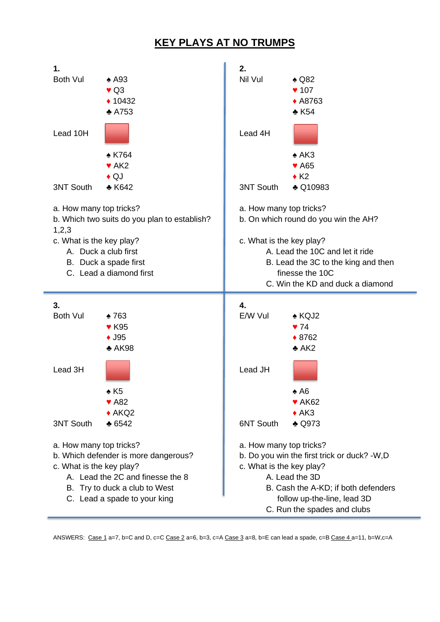## **KEY PLAYS AT NO TRUMPS**

| 1.<br><b>Both Vul</b>                                                                                         | $\triangle$ A93<br>$\blacktriangledown$ Q3<br>◆ 10432<br>$\triangle$ A753       | 2.<br>Nil Vul                                                                                                                                             | $\triangle$ Q82<br>$\blacktriangledown$ 107<br>◆ A8763<br>$\triangle$ K54 |  |  |  |  |
|---------------------------------------------------------------------------------------------------------------|---------------------------------------------------------------------------------|-----------------------------------------------------------------------------------------------------------------------------------------------------------|---------------------------------------------------------------------------|--|--|--|--|
| Lead 10H                                                                                                      |                                                                                 | Lead 4H                                                                                                                                                   |                                                                           |  |  |  |  |
| 3NT South                                                                                                     | <b>AK764</b><br>$\blacktriangleright$ AK2<br>$\triangle$ QJ<br>$\triangle$ K642 | <b>3NT South</b>                                                                                                                                          | $\triangle$ AK3<br>♥ A65<br>$\triangle$ K2<br>♣ Q10983                    |  |  |  |  |
|                                                                                                               | a. How many top tricks?<br>b. Which two suits do you plan to establish?         |                                                                                                                                                           | a. How many top tricks?<br>b. On which round do you win the AH?           |  |  |  |  |
| 1,2,3<br>c. What is the key play?<br>A. Duck a club first<br>B. Duck a spade first<br>C. Lead a diamond first |                                                                                 | c. What is the key play?<br>A. Lead the 10C and let it ride<br>B. Lead the 3C to the king and then<br>finesse the 10C<br>C. Win the KD and duck a diamond |                                                                           |  |  |  |  |
|                                                                                                               |                                                                                 |                                                                                                                                                           |                                                                           |  |  |  |  |
| 3.<br><b>Both Vul</b>                                                                                         | ᢢ763<br>♥ K95<br>$\triangle$ J95<br>$\triangle$ AK98                            | 4.<br>E/W Vul                                                                                                                                             | $\triangle$ KQJ2<br>$\blacktriangledown$ 74<br>♦ 8762<br>$\triangle$ AK2  |  |  |  |  |
| Lead 3H                                                                                                       | $\triangle$ K5<br>$\blacktriangledown$ A82                                      | Lead JH                                                                                                                                                   | $\triangle$ A6<br>$\blacktriangleright$ AK62                              |  |  |  |  |
| <b>3NT South</b>                                                                                              | $\triangle$ AKQ2<br>$\triangle$ 6542                                            | <b>6NT South</b>                                                                                                                                          | $\triangle$ AK3<br>$\triangle$ Q973                                       |  |  |  |  |

ANSWERS: Case 1 a=7, b=C and D, c=C Case 2 a=6, b=3, c=A Case 3 a=8, b=E can lead a spade, c=B Case 4 a=11, b=W,c=A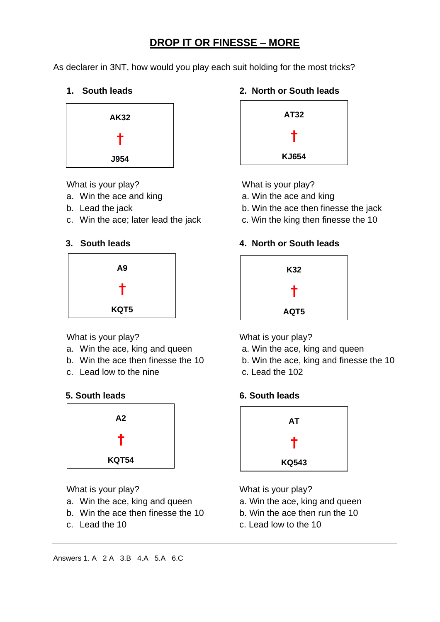## **DROP IT OR FINESSE – MORE**

As declarer in 3NT, how would you play each suit holding for the most tricks?



- a. Win the ace and king a. Win the ace and king
- 
- c. Win the ace; later lead the jack c. Win the king then finesse the 10





- a. Win the ace, king and queen **a. Win the ace, king and queen**
- 
- c. Lead low to the nine c. Lead the 102





- a. Win the ace, king and queen a. Win the ace, king and queen
- b. Win the ace then finesse the 10 b. Win the ace then run the 10
- 

#### **1. South leads 2. North or South leads**



What is your play? What is your play?

- 
- b. Lead the jack b. Win the ace then finesse the jack
	-

### **3. South leads 4. North or South leads**



What is your play? What is your play?

- 
- b. Win the ace then finesse the 10 b. Win the ace, king and finesse the 10
	-



What is your play? What is your play?

- 
- 
- c. Lead the 10 c. Lead low to the 10